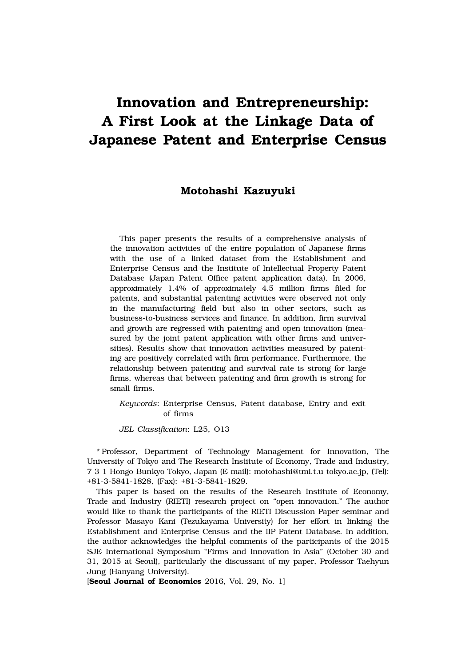# **Innovation and Entrepreneurship: A First Look at the Linkage Data of Japanese Patent and Enterprise Census**

## **Motohashi Kazuyuki**

This paper presents the results of a comprehensive analysis of the innovation activities of the entire population of Japanese firms with the use of a linked dataset from the Establishment and Enterprise Census and the Institute of Intellectual Property Patent Database (Japan Patent Office patent application data). In 2006, approximately 1.4% of approximately 4.5 million firms filed for patents, and substantial patenting activities were observed not only in the manufacturing field but also in other sectors, such as business-to-business services and finance. In addition, firm survival and growth are regressed with patenting and open innovation (measured by the joint patent application with other firms and universities). Results show that innovation activities measured by patenting are positively correlated with firm performance. Furthermore, the relationship between patenting and survival rate is strong for large firms, whereas that between patenting and firm growth is strong for small firms.

*Keywords*: Enterprise Census, Patent database, Entry and exit of firms

*JEL Classification*: L25, O13

\* Professor, Department of Technology Management for Innovation, The University of Tokyo and The Research Institute of Economy, Trade and Industry, 7-3-1 Hongo Bunkyo Tokyo, Japan (E-mail): motohashi@tmi.t.u-tokyo.ac.jp, (Tel): +81-3-5841-1828, (Fax): +81-3-5841-1829.

This paper is based on the results of the Research Institute of Economy, Trade and Industry (RIETI) research project on "open innovation." The author would like to thank the participants of the RIETI Discussion Paper seminar and Professor Masayo Kani (Tezukayama University) for her effort in linking the Establishment and Enterprise Census and the IIP Patent Database. In addition, the author acknowledges the helpful comments of the participants of the 2015 SJE International Symposium "Firms and Innovation in Asia" (October 30 and 31, 2015 at Seoul), particularly the discussant of my paper, Professor Taehyun Jung (Hanyang University).

[**Seoul Journal of Economics** 2016, Vol. 29, No. 1]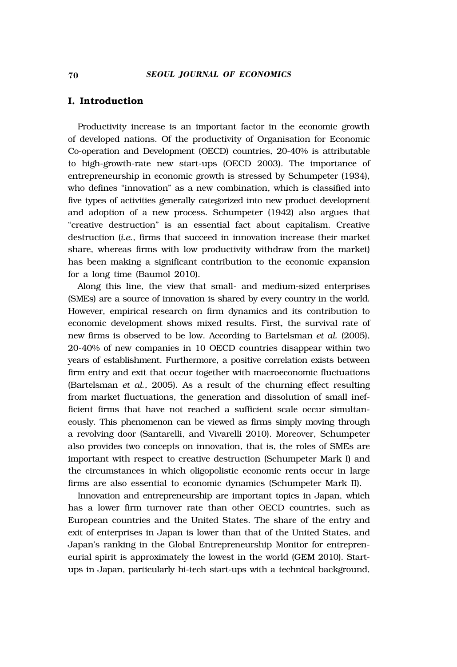## **I. Introduction**

Productivity increase is an important factor in the economic growth of developed nations. Of the productivity of Organisation for Economic Co-operation and Development (OECD) countries, 20-40% is attributable to high-growth-rate new start-ups (OECD 2003). The importance of entrepreneurship in economic growth is stressed by Schumpeter (1934), who defines "innovation" as a new combination, which is classified into five types of activities generally categorized into new product development and adoption of a new process. Schumpeter (1942) also argues that "creative destruction" is an essential fact about capitalism. Creative destruction (*i.e.*, firms that succeed in innovation increase their market share, whereas firms with low productivity withdraw from the market) has been making a significant contribution to the economic expansion for a long time (Baumol 2010).

Along this line, the view that small- and medium-sized enterprises (SMEs) are a source of innovation is shared by every country in the world. However, empirical research on firm dynamics and its contribution to economic development shows mixed results. First, the survival rate of new firms is observed to be low. According to Bartelsman *et al.* (2005), 20-40% of new companies in 10 OECD countries disappear within two years of establishment. Furthermore, a positive correlation exists between firm entry and exit that occur together with macroeconomic fluctuations (Bartelsman *et al.*, 2005). As a result of the churning effect resulting from market fluctuations, the generation and dissolution of small inefficient firms that have not reached a sufficient scale occur simultaneously. This phenomenon can be viewed as firms simply moving through a revolving door (Santarelli, and Vivarelli 2010). Moreover, Schumpeter also provides two concepts on innovation, that is, the roles of SMEs are important with respect to creative destruction (Schumpeter Mark I) and the circumstances in which oligopolistic economic rents occur in large firms are also essential to economic dynamics (Schumpeter Mark II).

Innovation and entrepreneurship are important topics in Japan, which has a lower firm turnover rate than other OECD countries, such as European countries and the United States. The share of the entry and exit of enterprises in Japan is lower than that of the United States, and Japan's ranking in the Global Entrepreneurship Monitor for entrepreneurial spirit is approximately the lowest in the world (GEM 2010). Startups in Japan, particularly hi-tech start-ups with a technical background,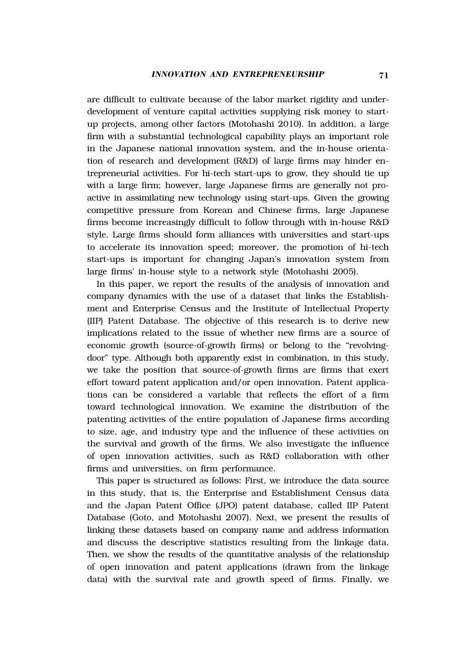are difficult to cultivate because of the labor market rigidity and underdevelopment of venture capital activities supplying risk money to startup projects, among other factors (Motohashi 2010). In addition, a large firm with a substantial technological capability plays an important role in the Japanese national innovation system, and the in-house orientation of research and development (R&D) of large firms may hinder entrepreneurial activities. For hi-tech start-ups to grow, they should tie up with a large firm; however, large Japanese firms are generally not proactive in assimilating new technology using start-ups. Given the growing competitive pressure from Korean and Chinese firms, large Japanese firms become increasingly difficult to follow through with in-house R&D style. Large firms should form alliances with universities and start-ups to accelerate its innovation speed; moreover, the promotion of hi-tech start-ups is important for changing Japan's innovation system from large firms' in-house style to a network style (Motohashi 2005).

In this paper, we report the results of the analysis of innovation and company dynamics with the use of a dataset that links the Establishment and Enterprise Census and the Institute of Intellectual Property (IIP) Patent Database. The objective of this research is to derive new implications related to the issue of whether new firms are a source of economic growth (source-of-growth firms) or belong to the "revolvingdoor" type. Although both apparently exist in combination, in this study, we take the position that source-of-growth firms are firms that exert effort toward patent application and/or open innovation. Patent applications can be considered a variable that reflects the effort of a firm toward technological innovation. We examine the distribution of the patenting activities of the entire population of Japanese firms according to size, age, and industry type and the influence of these activities on the survival and growth of the firms. We also investigate the influence of open innovation activities, such as R&D collaboration with other firms and universities, on firm performance.

This paper is structured as follows: First, we introduce the data source in this study, that is, the Enterprise and Establishment Census data and the Japan Patent Office (JPO) patent database, called IIP Patent Database (Goto, and Motohashi 2007). Next, we present the results of linking these datasets based on company name and address information and discuss the descriptive statistics resulting from the linkage data. Then, we show the results of the quantitative analysis of the relationship of open innovation and patent applications (drawn from the linkage data) with the survival rate and growth speed of firms. Finally, we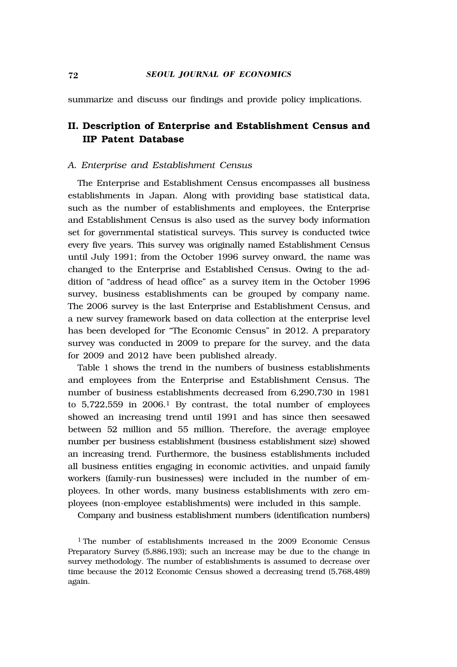summarize and discuss our findings and provide policy implications.

# **II. Description of Enterprise and Establishment Census and IIP Patent Database**

#### *A. Enterprise and Establishment Census*

The Enterprise and Establishment Census encompasses all business establishments in Japan. Along with providing base statistical data, such as the number of establishments and employees, the Enterprise and Establishment Census is also used as the survey body information set for governmental statistical surveys. This survey is conducted twice every five years. This survey was originally named Establishment Census until July 1991; from the October 1996 survey onward, the name was changed to the Enterprise and Established Census. Owing to the addition of "address of head office" as a survey item in the October 1996 survey, business establishments can be grouped by company name. The 2006 survey is the last Enterprise and Establishment Census, and a new survey framework based on data collection at the enterprise level has been developed for "The Economic Census" in 2012. A preparatory survey was conducted in 2009 to prepare for the survey, and the data for 2009 and 2012 have been published already.

Table 1 shows the trend in the numbers of business establishments and employees from the Enterprise and Establishment Census. The number of business establishments decreased from 6,290,730 in 1981 to 5,722,559 in 2006.1 By contrast, the total number of employees showed an increasing trend until 1991 and has since then seesawed between 52 million and 55 million. Therefore, the average employee number per business establishment (business establishment size) showed an increasing trend. Furthermore, the business establishments included all business entities engaging in economic activities, and unpaid family workers (family-run businesses) were included in the number of employees. In other words, many business establishments with zero employees (non-employee establishments) were included in this sample.

Company and business establishment numbers (identification numbers)

<sup>1</sup> The number of establishments increased in the 2009 Economic Census Preparatory Survey (5,886,193); such an increase may be due to the change in survey methodology. The number of establishments is assumed to decrease over time because the 2012 Economic Census showed a decreasing trend (5,768,489) again.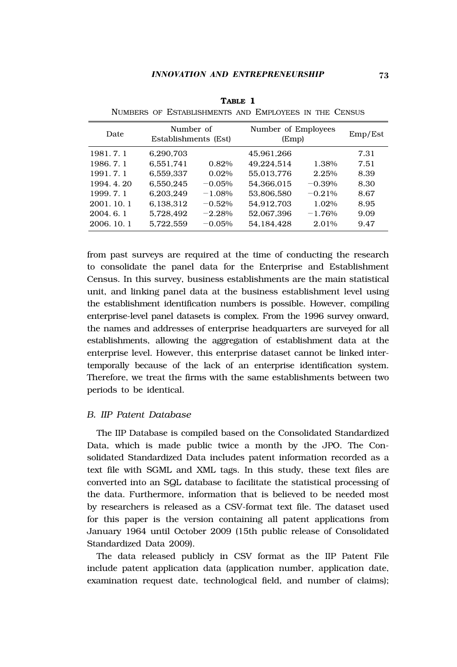| Date        | Number of<br>Establishments (Est) |          |            | Number of Employees<br>(Emp) |      |  |
|-------------|-----------------------------------|----------|------------|------------------------------|------|--|
| 1981.7.1    | 6.290.703                         |          | 45,961,266 |                              | 7.31 |  |
| 1986. 7. 1  | 6.551.741                         | 0.82%    | 49.224.514 | 1.38%                        | 7.51 |  |
| 1991.7.1    | 6.559.337                         | $0.02\%$ | 55.013.776 | 2.25%                        | 8.39 |  |
| 1994.4.20   | 6.550.245                         | $-0.05%$ | 54.366.015 | $-0.39\%$                    | 8.30 |  |
| 1999. 7. 1  | 6.203.249                         | $-1.08%$ | 53.806.580 | $-0.21%$                     | 8.67 |  |
| 2001.10.1   | 6.138.312                         | $-0.52%$ | 54.912.703 | $1.02\%$                     | 8.95 |  |
| 2004.6.1    | 5.728.492                         | $-2.28%$ | 52.067.396 | $-1.76%$                     | 9.09 |  |
| 2006, 10, 1 | 5.722.559                         | $-0.05%$ | 54.184.428 | 2.01%                        | 9.47 |  |

**TABLE 1** NUMBERS OF ESTABLISHMENTS AND EMPLOYEES IN THE CENSUS

from past surveys are required at the time of conducting the research to consolidate the panel data for the Enterprise and Establishment Census. In this survey, business establishments are the main statistical unit, and linking panel data at the business establishment level using the establishment identification numbers is possible. However, compiling enterprise-level panel datasets is complex. From the 1996 survey onward, the names and addresses of enterprise headquarters are surveyed for all establishments, allowing the aggregation of establishment data at the enterprise level. However, this enterprise dataset cannot be linked intertemporally because of the lack of an enterprise identification system. Therefore, we treat the firms with the same establishments between two periods to be identical.

#### *B. IIP Patent Database*

The IIP Database is compiled based on the Consolidated Standardized Data, which is made public twice a month by the JPO. The Consolidated Standardized Data includes patent information recorded as a text file with SGML and XML tags. In this study, these text files are converted into an SQL database to facilitate the statistical processing of the data. Furthermore, information that is believed to be needed most by researchers is released as a CSV-format text file. The dataset used for this paper is the version containing all patent applications from January 1964 until October 2009 (15th public release of Consolidated Standardized Data 2009).

The data released publicly in CSV format as the IIP Patent File include patent application data (application number, application date, examination request date, technological field, and number of claims);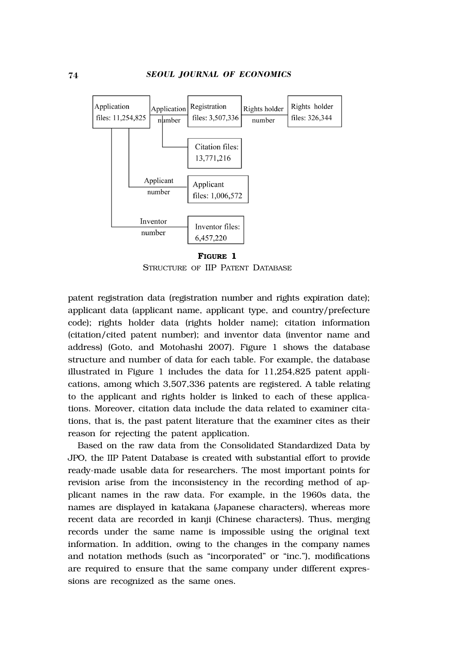

**FIGURE 1** STRUCTURE OF IIP PATENT DATABASE

patent registration data (registration number and rights expiration date); applicant data (applicant name, applicant type, and country/prefecture code); rights holder data (rights holder name); citation information (citation/cited patent number); and inventor data (inventor name and address) (Goto, and Motohashi 2007). Figure 1 shows the database structure and number of data for each table. For example, the database illustrated in Figure 1 includes the data for 11,254,825 patent applications, among which 3,507,336 patents are registered. A table relating to the applicant and rights holder is linked to each of these applications. Moreover, citation data include the data related to examiner citations, that is, the past patent literature that the examiner cites as their reason for rejecting the patent application.

Based on the raw data from the Consolidated Standardized Data by JPO, the IIP Patent Database is created with substantial effort to provide ready-made usable data for researchers. The most important points for revision arise from the inconsistency in the recording method of applicant names in the raw data. For example, in the 1960s data, the names are displayed in katakana (Japanese characters), whereas more recent data are recorded in kanji (Chinese characters). Thus, merging records under the same name is impossible using the original text information. In addition, owing to the changes in the company names and notation methods (such as "incorporated" or "inc."), modifications are required to ensure that the same company under different expressions are recognized as the same ones.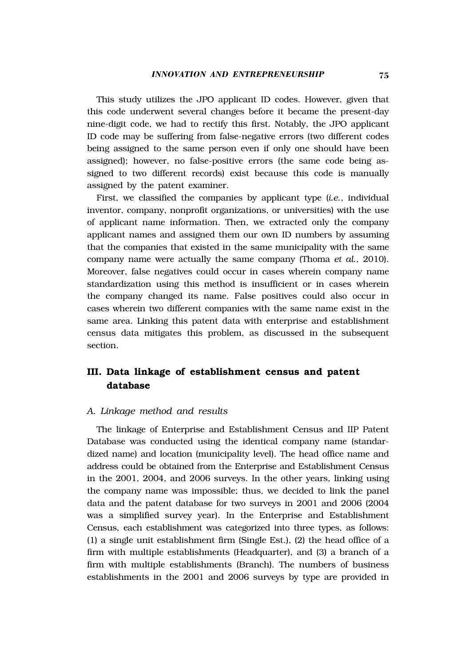This study utilizes the JPO applicant ID codes. However, given that this code underwent several changes before it became the present-day nine-digit code, we had to rectify this first. Notably, the JPO applicant ID code may be suffering from false-negative errors (two different codes being assigned to the same person even if only one should have been assigned); however, no false-positive errors (the same code being assigned to two different records) exist because this code is manually assigned by the patent examiner.

First, we classified the companies by applicant type (*i.e.*, individual inventor, company, nonprofit organizations, or universities) with the use of applicant name information. Then, we extracted only the company applicant names and assigned them our own ID numbers by assuming that the companies that existed in the same municipality with the same company name were actually the same company (Thoma *et al.*, 2010). Moreover, false negatives could occur in cases wherein company name standardization using this method is insufficient or in cases wherein the company changed its name. False positives could also occur in cases wherein two different companies with the same name exist in the same area. Linking this patent data with enterprise and establishment census data mitigates this problem, as discussed in the subsequent section.

## **III. Data linkage of establishment census and patent database**

#### *A. Linkage method and results*

The linkage of Enterprise and Establishment Census and IIP Patent Database was conducted using the identical company name (standardized name) and location (municipality level). The head office name and address could be obtained from the Enterprise and Establishment Census in the 2001, 2004, and 2006 surveys. In the other years, linking using the company name was impossible; thus, we decided to link the panel data and the patent database for two surveys in 2001 and 2006 (2004 was a simplified survey year). In the Enterprise and Establishment Census, each establishment was categorized into three types, as follows: (1) a single unit establishment firm (Single Est.), (2) the head office of a firm with multiple establishments (Headquarter), and (3) a branch of a firm with multiple establishments (Branch). The numbers of business establishments in the 2001 and 2006 surveys by type are provided in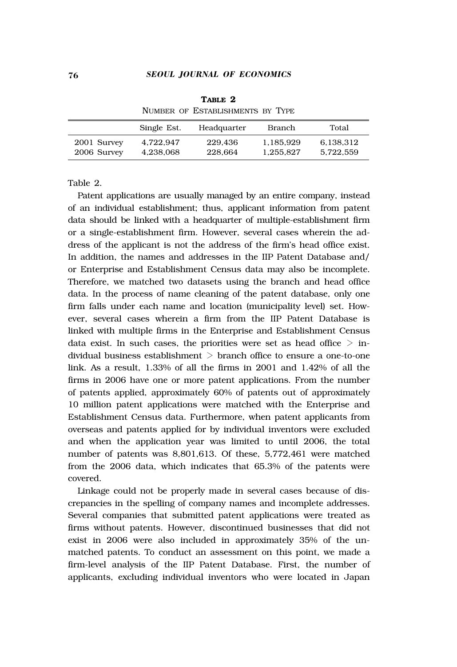|                            | Single Est.            | Headquarter        | Branch                 | Total                  |
|----------------------------|------------------------|--------------------|------------------------|------------------------|
| 2001 Survey<br>2006 Survey | 4.722.947<br>4.238.068 | 229.436<br>228.664 | 1.185.929<br>1.255.827 | 6.138.312<br>5.722.559 |

**TABLE 2** NUMBER OF ESTABLISHMENTS BY TYPE

Table 2.

Patent applications are usually managed by an entire company, instead of an individual establishment; thus, applicant information from patent data should be linked with a headquarter of multiple-establishment firm or a single-establishment firm. However, several cases wherein the address of the applicant is not the address of the firm's head office exist. In addition, the names and addresses in the IIP Patent Database and/ or Enterprise and Establishment Census data may also be incomplete. Therefore, we matched two datasets using the branch and head office data. In the process of name cleaning of the patent database, only one firm falls under each name and location (municipality level) set. However, several cases wherein a firm from the IIP Patent Database is linked with multiple firms in the Enterprise and Establishment Census data exist. In such cases, the priorities were set as head office  $>$  individual business establishment  $>$  branch office to ensure a one-to-one link. As a result, 1.33% of all the firms in 2001 and 1.42% of all the firms in 2006 have one or more patent applications. From the number of patents applied, approximately 60% of patents out of approximately 10 million patent applications were matched with the Enterprise and Establishment Census data. Furthermore, when patent applicants from overseas and patents applied for by individual inventors were excluded and when the application year was limited to until 2006, the total number of patents was 8,801,613. Of these, 5,772,461 were matched from the 2006 data, which indicates that 65.3% of the patents were covered.

Linkage could not be properly made in several cases because of discrepancies in the spelling of company names and incomplete addresses. Several companies that submitted patent applications were treated as firms without patents. However, discontinued businesses that did not exist in 2006 were also included in approximately 35% of the unmatched patents. To conduct an assessment on this point, we made a firm-level analysis of the IIP Patent Database. First, the number of applicants, excluding individual inventors who were located in Japan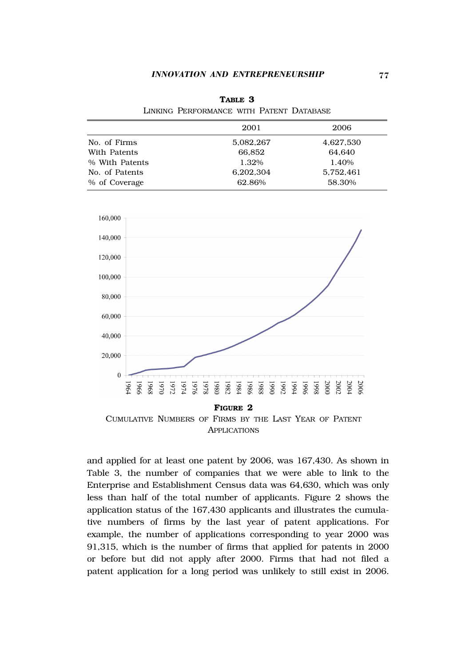**TABLE 3** LINKING PERFORMANCE WITH PATENT DATABASE

| LADINING LEAGU QINDIANGA WITH LATISINI LAATADAGAS |           |  |  |  |
|---------------------------------------------------|-----------|--|--|--|
| 2001                                              | 2006      |  |  |  |
| 5.082.267                                         | 4.627.530 |  |  |  |
| 66.852                                            | 64.640    |  |  |  |
| 1.32%                                             | 1.40%     |  |  |  |
| 6,202,304                                         | 5.752.461 |  |  |  |
| 62.86%                                            | 58.30%    |  |  |  |
|                                                   |           |  |  |  |





APPLICATIONS

and applied for at least one patent by 2006, was 167,430. As shown in Table 3, the number of companies that we were able to link to the Enterprise and Establishment Census data was 64,630, which was only less than half of the total number of applicants. Figure 2 shows the application status of the 167,430 applicants and illustrates the cumulative numbers of firms by the last year of patent applications. For example, the number of applications corresponding to year 2000 was 91,315, which is the number of firms that applied for patents in 2000 or before but did not apply after 2000. Firms that had not filed a patent application for a long period was unlikely to still exist in 2006.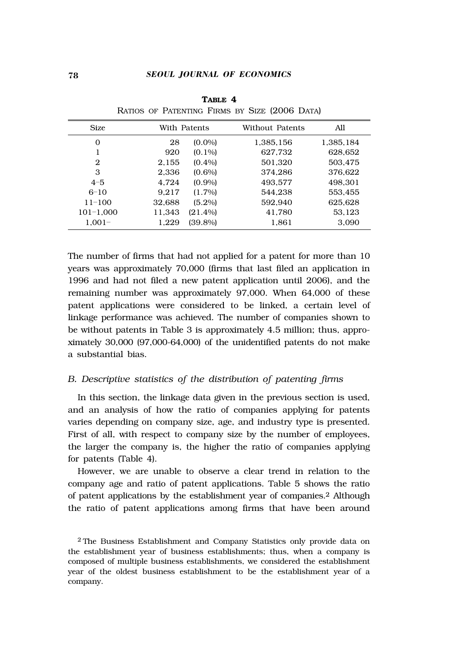| <b>Size</b>   |        | With Patents | Without Patents | All       |
|---------------|--------|--------------|-----------------|-----------|
| $\Omega$      | 28     | $(0.0\%)$    | 1.385.156       | 1.385.184 |
|               | 920    | $(0.1\%)$    | 627.732         | 628,652   |
| 2             | 2.155  | $(0.4\%)$    | 501.320         | 503.475   |
| 3             | 2.336  | $(0.6\%)$    | 374.286         | 376.622   |
| $4 - 5$       | 4.724  | $(0.9\%)$    | 493.577         | 498.301   |
| $6 - 10$      | 9.217  | $(1.7\%)$    | 544.238         | 553.455   |
| $11 - 100$    | 32.688 | $(5.2\%)$    | 592.940         | 625,628   |
| $101 - 1.000$ | 11.343 | $(21.4\%)$   | 41.780          | 53,123    |
| $1.001 -$     | 1.229  | $(39.8\%)$   | 1.861           | 3.090     |
|               |        |              |                 |           |

**TABLE 4** RATIOS OF PATENTING FIRMS BY SIZE (2006 DATA)

The number of firms that had not applied for a patent for more than 10 years was approximately 70,000 (firms that last filed an application in 1996 and had not filed a new patent application until 2006), and the remaining number was approximately 97,000. When 64,000 of these patent applications were considered to be linked, a certain level of linkage performance was achieved. The number of companies shown to be without patents in Table 3 is approximately 4.5 million; thus, approximately 30,000 (97,000-64,000) of the unidentified patents do not make a substantial bias.

## *B. Descriptive statistics of the distribution of patenting firms*

In this section, the linkage data given in the previous section is used, and an analysis of how the ratio of companies applying for patents varies depending on company size, age, and industry type is presented. First of all, with respect to company size by the number of employees, the larger the company is, the higher the ratio of companies applying for patents (Table 4).

However, we are unable to observe a clear trend in relation to the company age and ratio of patent applications. Table 5 shows the ratio of patent applications by the establishment year of companies.2 Although the ratio of patent applications among firms that have been around

<sup>2</sup> The Business Establishment and Company Statistics only provide data on the establishment year of business establishments; thus, when a company is composed of multiple business establishments, we considered the establishment year of the oldest business establishment to be the establishment year of a company.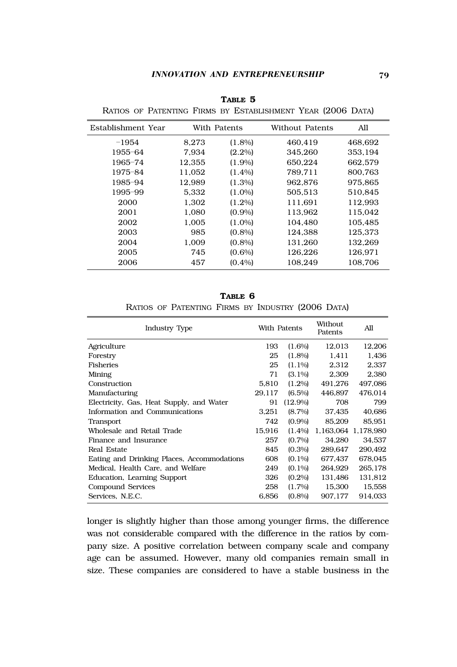| Establishment Year |        | With Patents | Without Patents | All     |
|--------------------|--------|--------------|-----------------|---------|
| $-1954$            | 8.273  | $(1.8\%)$    | 460.419         | 468.692 |
| 1955-64            | 7.934  | $(2.2\%)$    | 345.260         | 353.194 |
| 1965-74            | 12.355 | $(1.9\%)$    | 650,224         | 662.579 |
| 1975-84            | 11.052 | $(1.4\%)$    | 789.711         | 800.763 |
| 1985-94            | 12.989 | $(1.3\%)$    | 962.876         | 975.865 |
| 1995-99            | 5.332  | $(1.0\%)$    | 505.513         | 510.845 |
| 2000               | 1.302  | $(1.2\%)$    | 111.691         | 112.993 |
| 2001               | 1.080  | $(0.9\%)$    | 113.962         | 115,042 |
| 2002               | 1.005  | $(1.0\%)$    | 104.480         | 105.485 |
| 2003               | 985    | $(0.8\%)$    | 124.388         | 125.373 |
| 2004               | 1.009  | $(0.8\%)$    | 131.260         | 132.269 |
| 2005               | 745    | $(0.6\%)$    | 126.226         | 126.971 |
| 2006               | 457    | $(0.4\%)$    | 108.249         | 108.706 |
|                    |        |              |                 |         |

**TABLE 5** RATIOS OF PATENTING FIRMS BY ESTABLISHMENT YEAR (2006 DATA)

**TABLE 6**

RATIOS OF PATENTING FIRMS BY INDUSTRY (2006 DATA)

| Industry Type                              | With Patents |           | Without<br>Patents | All                 |
|--------------------------------------------|--------------|-----------|--------------------|---------------------|
| Agriculture                                | 193          | $(1.6\%)$ | 12,013             | 12,206              |
| Forestry                                   | 25           | $(1.8\%)$ | 1,411              | 1,436               |
| Fisheries                                  | 25           | $(1.1\%)$ | 2,312              | 2,337               |
| Mining                                     | 71           | $(3.1\%)$ | 2.309              | 2,380               |
| Construction                               | 5.810        | $(1.2\%)$ | 491.276            | 497.086             |
| Manufacturing                              | 29,117       | $(6.5\%)$ | 446.897            | 476.014             |
| Electricity, Gas, Heat Supply, and Water   | 91           | (12.9%    | 708                | 799                 |
| Information and Communications             | 3.251        | $(8.7\%)$ | 37.435             | 40,686              |
| Transport                                  | 742          | $(0.9\%)$ | 85.209             | 85.951              |
| Wholesale and Retail Trade                 | 15.916       | $(1.4\%)$ |                    | 1.163.064 1.178.980 |
| Finance and Insurance                      | 257          | $(0.7\%)$ | 34.280             | 34,537              |
| Real Estate                                | 845          | $(0.3\%)$ | 289,647            | 290,492             |
| Eating and Drinking Places, Accommodations | 608          | $(0.1\%)$ | 677,437            | 678,045             |
| Medical, Health Care, and Welfare          | 249          | $(0.1\%)$ | 264,929            | 265,178             |
| Education, Learning Support                | 326          | $(0.2\%)$ | 131.486            | 131,812             |
| Compound Services                          | 258          | $(1.7\%)$ | 15.300             | 15,558              |
| Services. N.E.C.                           | 6,856        | $(0.8\%)$ | 907.177            | 914.033             |

longer is slightly higher than those among younger firms, the difference was not considerable compared with the difference in the ratios by company size. A positive correlation between company scale and company age can be assumed. However, many old companies remain small in size. These companies are considered to have a stable business in the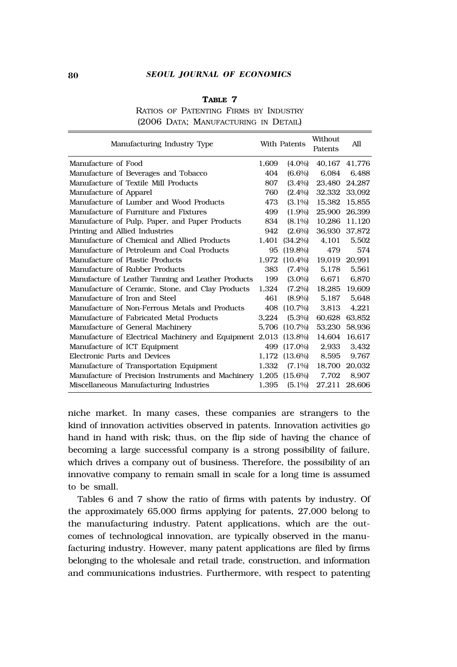#### 80 *SEOUL JOURNAL OF ECONOMICS*

| Manufacturing Industry Type                             |       | With Patents | Without.<br>Patents | All    |
|---------------------------------------------------------|-------|--------------|---------------------|--------|
| Manufacture of Food                                     | 1.609 | $(4.0\%)$    | 40,167              | 41,776 |
| Manufacture of Beverages and Tobacco                    | 404   | $(6.6\%)$    | 6.084               | 6.488  |
| Manufacture of Textile Mill Products                    | 807   | $(3.4\%)$    | 23.480              | 24.287 |
| Manufacture of Apparel                                  | 760   | $(2.4\%)$    | 32,332              | 33,092 |
| Manufacture of Lumber and Wood Products                 | 473   | $(3.1\%)$    | 15,382              | 15,855 |
| Manufacture of Furniture and Fixtures                   | 499   | $(1.9\%)$    | 25,900              | 26.399 |
| Manufacture of Pulp, Paper, and Paper Products          | 834   | $(8.1\%)$    | 10.286              | 11,120 |
| Printing and Allied Industries                          | 942   | $(2.6\%)$    | 36,930              | 37,872 |
| Manufacture of Chemical and Allied Products             | 1.401 | $(34.2\%)$   | 4,101               | 5,502  |
| Manufacture of Petroleum and Coal Products              | 95    | $(19.8\%)$   | 479                 | 574    |
| Manufacture of Plastic Products                         | 1.972 | $(10.4\%)$   | 19.019              | 20.991 |
| Manufacture of Rubber Products                          | 383   | $(7.4\%)$    | 5.178               | 5.561  |
| Manufacture of Leather Tanning and Leather Products     | 199   | $(3.0\%)$    | 6.671               | 6,870  |
| Manufacture of Ceramic, Stone, and Clay Products        | 1.324 | $(7.2\%)$    | 18.285              | 19.609 |
| Manufacture of Iron and Steel                           | 461   | $(8.9\%)$    | 5.187               | 5.648  |
| Manufacture of Non-Ferrous Metals and Products          | 408   | (10.7%)      | 3.813               | 4.221  |
| Manufacture of Fabricated Metal Products                | 3.224 | $(5.3\%)$    | 60.628              | 63.852 |
| Manufacture of General Machinery                        | 5.706 | (10.7%)      | 53,230              | 58,936 |
| Manufacture of Electrical Machinery and Equipment 2,013 |       | $(13.8\%)$   | 14.604              | 16,617 |
| Manufacture of ICT Equipment                            | 499   | $(17.0\%)$   | 2.933               | 3,432  |
| Electronic Parts and Devices                            | 1.172 | $(13.6\%)$   | 8.595               | 9.767  |
| Manufacture of Transportation Equipment                 | 1.332 | $(7.1\%)$    | 18,700              | 20,032 |
| Manufacture of Precision Instruments and Machinery      | 1,205 | $(15.6\%)$   | 7.702               | 8,907  |
| Miscellaneous Manufacturing Industries                  | 1,395 | $(5.1\%)$    | 27,211              | 28,606 |

## **TABLE 7**

RATIOS OF PATENTING FIRMS BY INDUSTRY (2006 DATA; MANUFACTURING IN DETAIL)

niche market. In many cases, these companies are strangers to the kind of innovation activities observed in patents. Innovation activities go hand in hand with risk; thus, on the flip side of having the chance of becoming a large successful company is a strong possibility of failure, which drives a company out of business. Therefore, the possibility of an innovative company to remain small in scale for a long time is assumed to be small.

Tables 6 and 7 show the ratio of firms with patents by industry. Of the approximately 65,000 firms applying for patents, 27,000 belong to the manufacturing industry. Patent applications, which are the outcomes of technological innovation, are typically observed in the manufacturing industry. However, many patent applications are filed by firms belonging to the wholesale and retail trade, construction, and information and communications industries. Furthermore, with respect to patenting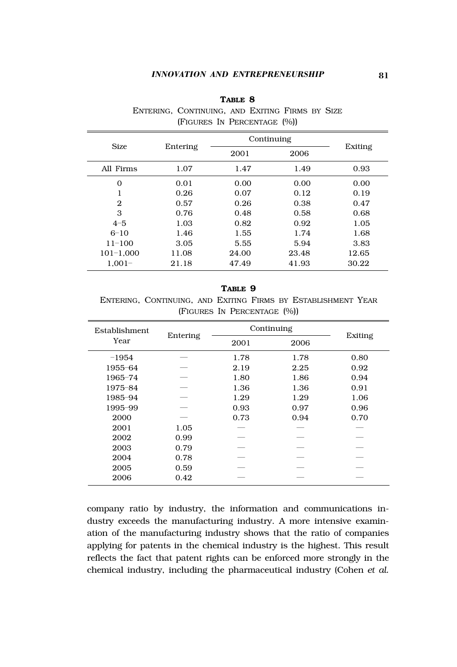## *INNOVATION AND ENTREPRENEURSHIP* 81

| <b>Size</b>    |          | Continuing | Exiting |       |
|----------------|----------|------------|---------|-------|
|                | Entering | 2001       | 2006    |       |
| All Firms      | 1.07     | 1.47       | 1.49    | 0.93  |
| $\mathbf 0$    | 0.01     | 0.00       | 0.00    | 0.00  |
| 1              | 0.26     | 0.07       | 0.12    | 0.19  |
| $\overline{2}$ | 0.57     | 0.26       | 0.38    | 0.47  |
| 3              | 0.76     | 0.48       | 0.58    | 0.68  |
| $4 - 5$        | 1.03     | 0.82       | 0.92    | 1.05  |
| $6 - 10$       | 1.46     | 1.55       | 1.74    | 1.68  |
| $11 - 100$     | 3.05     | 5.55       | 5.94    | 3.83  |
| $101 - 1,000$  | 11.08    | 24.00      | 23.48   | 12.65 |
| $1.001 -$      | 21.18    | 47.49      | 41.93   | 30.22 |

## **TABLE 8**

ENTERING, CONTINUING, AND EXITING FIRMS BY SIZE (FIGURES IN PERCENTAGE (%))

## **TABLE 9**

ENTERING, CONTINUING, AND EXITING FIRMS BY ESTABLISHMENT YEAR (FIGURES IN PERCENTAGE (%))

| Establishment. |          | Continuing |      | Exiting |  |
|----------------|----------|------------|------|---------|--|
| Year           | Entering | 2001       | 2006 |         |  |
| $-1954$        |          | 1.78       | 1.78 | 0.80    |  |
| 1955-64        |          | 2.19       | 2.25 | 0.92    |  |
| 1965-74        |          | 1.80       | 1.86 | 0.94    |  |
| 1975-84        |          | 1.36       | 1.36 | 0.91    |  |
| 1985-94        |          | 1.29       | 1.29 | 1.06    |  |
| 1995-99        |          | 0.93       | 0.97 | 0.96    |  |
| 2000           |          | 0.73       | 0.94 | 0.70    |  |
| 2001           | 1.05     |            |      |         |  |
| 2002           | 0.99     |            |      |         |  |
| 2003           | 0.79     |            |      |         |  |
| 2004           | 0.78     |            |      |         |  |
| 2005           | 0.59     |            |      |         |  |
| 2006           | 0.42     |            |      |         |  |

company ratio by industry, the information and communications industry exceeds the manufacturing industry. A more intensive examination of the manufacturing industry shows that the ratio of companies applying for patents in the chemical industry is the highest. This result reflects the fact that patent rights can be enforced more strongly in the chemical industry, including the pharmaceutical industry (Cohen *et al.*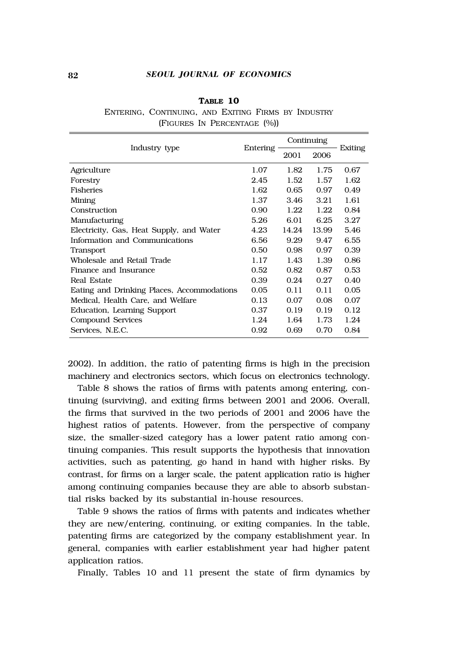#### 82 *SEOUL JOURNAL OF ECONOMICS*

| TABLE 10                    |                                                     |  |  |  |  |  |
|-----------------------------|-----------------------------------------------------|--|--|--|--|--|
|                             | ENTERING, CONTINUING, AND EXITING FIRMS BY INDUSTRY |  |  |  |  |  |
| (FIGURES IN PERCENTAGE (%)) |                                                     |  |  |  |  |  |

|                                            |          | Continuing |       |         |
|--------------------------------------------|----------|------------|-------|---------|
| Industry type                              | Entering | 2001       | 2006  | Exiting |
| Agriculture                                | 1.07     | 1.82       | 1.75  | 0.67    |
| Forestry                                   | 2.45     | 1.52       | 1.57  | 1.62    |
| <b>Fisheries</b>                           | 1.62     | 0.65       | 0.97  | 0.49    |
| Mining                                     | 1.37     | 3.46       | 3.21  | 1.61    |
| Construction                               | 0.90     | 1.22       | 1.22  | 0.84    |
| Manufacturing                              | 5.26     | 6.01       | 6.25  | 3.27    |
| Electricity, Gas, Heat Supply, and Water   | 4.23     | 14.24      | 13.99 | 5.46    |
| Information and Communications             | 6.56     | 9.29       | 9.47  | 6.55    |
| Transport                                  | 0.50     | 0.98       | 0.97  | 0.39    |
| Wholesale and Retail Trade                 | 1.17     | 1.43       | 1.39  | 0.86    |
| Finance and Insurance                      | 0.52     | 0.82       | 0.87  | 0.53    |
| Real Estate                                | 0.39     | 0.24       | 0.27  | 0.40    |
| Eating and Drinking Places, Accommodations | 0.05     | 0.11       | 0.11  | 0.05    |
| Medical, Health Care, and Welfare          | 0.13     | 0.07       | 0.08  | 0.07    |
| Education, Learning Support                | 0.37     | 0.19       | 0.19  | 0.12    |
| Compound Services                          | 1.24     | 1.64       | 1.73  | 1.24    |
| Services. N.E.C.                           | 0.92     | 0.69       | 0.70  | 0.84    |

2002). In addition, the ratio of patenting firms is high in the precision machinery and electronics sectors, which focus on electronics technology.

Table 8 shows the ratios of firms with patents among entering, continuing (surviving), and exiting firms between 2001 and 2006. Overall, the firms that survived in the two periods of 2001 and 2006 have the highest ratios of patents. However, from the perspective of company size, the smaller-sized category has a lower patent ratio among continuing companies. This result supports the hypothesis that innovation activities, such as patenting, go hand in hand with higher risks. By contrast, for firms on a larger scale, the patent application ratio is higher among continuing companies because they are able to absorb substantial risks backed by its substantial in-house resources.

Table 9 shows the ratios of firms with patents and indicates whether they are new/entering, continuing, or exiting companies. In the table, patenting firms are categorized by the company establishment year. In general, companies with earlier establishment year had higher patent application ratios.

Finally, Tables 10 and 11 present the state of firm dynamics by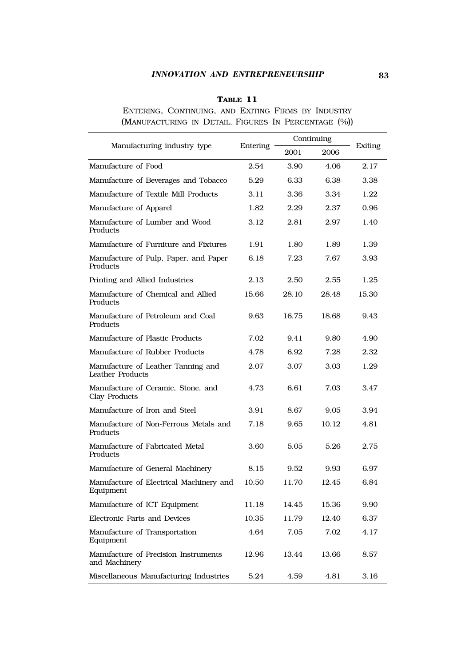## *INNOVATION AND ENTREPRENEURSHIP* 83

## **TABLE 11**

ENTERING, CONTINUING, AND EXITING FIRMS BY INDUSTRY (MANUFACTURING IN DETAIL, FIGURES IN PERCENTAGE (%))

|                                                        |          | Continuing |       |         |
|--------------------------------------------------------|----------|------------|-------|---------|
| Manufacturing industry type                            | Entering | 2001       | 2006  | Exiting |
| Manufacture of Food                                    | 2.54     | 3.90       | 4.06  | 2.17    |
| Manufacture of Beverages and Tobacco                   | 5.29     | 6.33       | 6.38  | 3.38    |
| Manufacture of Textile Mill Products                   | 3.11     | 3.36       | 3.34  | 1.22    |
| Manufacture of Apparel                                 | 1.82     | 2.29       | 2.37  | 0.96    |
| Manufacture of Lumber and Wood<br>Products             | 3.12     | 2.81       | 2.97  | 1.40    |
| Manufacture of Furniture and Fixtures                  | 1.91     | 1.80       | 1.89  | 1.39    |
| Manufacture of Pulp, Paper, and Paper<br>Products      | 6.18     | 7.23       | 7.67  | 3.93    |
| Printing and Allied Industries                         | 2.13     | 2.50       | 2.55  | 1.25    |
| Manufacture of Chemical and Allied<br>Products         | 15.66    | 28.10      | 28.48 | 15.30   |
| Manufacture of Petroleum and Coal<br>Products          | 9.63     | 16.75      | 18.68 | 9.43    |
| Manufacture of Plastic Products                        | 7.02     | 9.41       | 9.80  | 4.90    |
| Manufacture of Rubber Products                         | 4.78     | 6.92       | 7.28  | 2.32    |
| Manufacture of Leather Tanning and<br>Leather Products | 2.07     | 3.07       | 3.03  | 1.29    |
| Manufacture of Ceramic, Stone. and<br>Clay Products    | 4.73     | 6.61       | 7.03  | 3.47    |
| Manufacture of Iron and Steel                          | 3.91     | 8.67       | 9.05  | 3.94    |
| Manufacture of Non-Ferrous Metals and<br>Products      | 7.18     | 9.65       | 10.12 | 4.81    |
| Manufacture of Fabricated Metal<br>Products            | 3.60     | 5.05       | 5.26  | 2.75    |
| Manufacture of General Machinery                       | 8.15     | 9.52       | 9.93  | 6.97    |
| Manufacture of Electrical Machinery and<br>Equipment   | 10.50    | 11.70      | 12.45 | 6.84    |
| Manufacture of ICT Equipment                           | 11.18    | 14.45      | 15.36 | 9.90    |
| Electronic Parts and Devices                           | 10.35    | 11.79      | 12.40 | 6.37    |
| Manufacture of Transportation<br>Equipment             | 4.64     | 7.05       | 7.02  | 4.17    |
| Manufacture of Precision Instruments<br>and Machinery  | 12.96    | 13.44      | 13.66 | 8.57    |
| Miscellaneous Manufacturing Industries                 | 5.24     | 4.59       | 4.81  | 3.16    |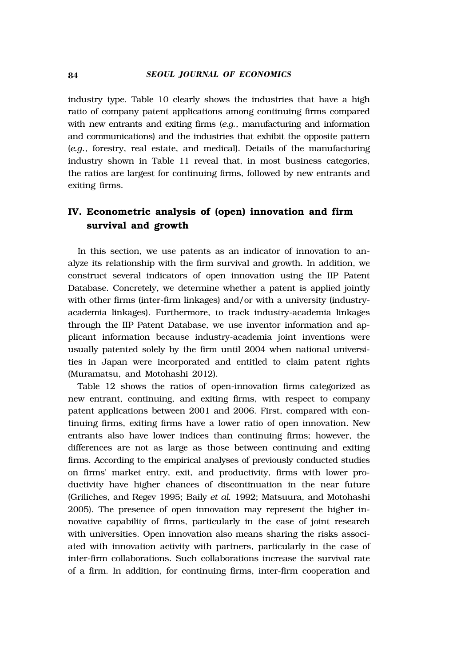industry type. Table 10 clearly shows the industries that have a high ratio of company patent applications among continuing firms compared with new entrants and exiting firms (*e.g.*, manufacturing and information and communications) and the industries that exhibit the opposite pattern (*e.g*., forestry, real estate, and medical). Details of the manufacturing industry shown in Table 11 reveal that, in most business categories, the ratios are largest for continuing firms, followed by new entrants and exiting firms.

# **IV. Econometric analysis of (open) innovation and firm survival and growth**

In this section, we use patents as an indicator of innovation to analyze its relationship with the firm survival and growth. In addition, we construct several indicators of open innovation using the IIP Patent Database. Concretely, we determine whether a patent is applied jointly with other firms (inter-firm linkages) and/or with a university (industryacademia linkages). Furthermore, to track industry-academia linkages through the IIP Patent Database, we use inventor information and applicant information because industry-academia joint inventions were usually patented solely by the firm until 2004 when national universities in Japan were incorporated and entitled to claim patent rights (Muramatsu, and Motohashi 2012).

Table 12 shows the ratios of open-innovation firms categorized as new entrant, continuing, and exiting firms, with respect to company patent applications between 2001 and 2006. First, compared with continuing firms, exiting firms have a lower ratio of open innovation. New entrants also have lower indices than continuing firms; however, the differences are not as large as those between continuing and exiting firms. According to the empirical analyses of previously conducted studies on firms' market entry, exit, and productivity, firms with lower productivity have higher chances of discontinuation in the near future (Griliches, and Regev 1995; Baily *et al.* 1992; Matsuura, and Motohashi 2005). The presence of open innovation may represent the higher innovative capability of firms, particularly in the case of joint research with universities. Open innovation also means sharing the risks associated with innovation activity with partners, particularly in the case of inter-firm collaborations. Such collaborations increase the survival rate of a firm. In addition, for continuing firms, inter-firm cooperation and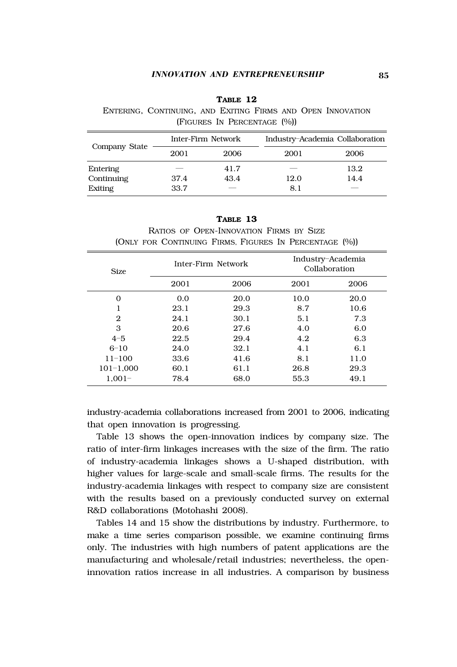#### *INNOVATION AND ENTREPRENEURSHIP* 85

| TABLE 12                                                    |  |  |  |  |  |
|-------------------------------------------------------------|--|--|--|--|--|
| ENTERING, CONTINUING, AND EXITING FIRMS AND OPEN INNOVATION |  |  |  |  |  |
| (FIGURES IN PERCENTAGE (%))                                 |  |  |  |  |  |
|                                                             |  |  |  |  |  |

| Company State |      | Inter-Firm Network | Industry-Academia Collaboration |      |  |
|---------------|------|--------------------|---------------------------------|------|--|
|               | 2001 | 2006               | 2001                            | 2006 |  |
| Entering      |      | 41.7               |                                 | 13.2 |  |
| Continuing    | 37.4 | 43.4               | 12.0                            | 14.4 |  |
| Exiting       | 33.7 | $-$                | 8.1                             |      |  |

| TABLE 13                                               |  |
|--------------------------------------------------------|--|
| RATIOS OF OPEN-INNOVATION FIRMS BY SIZE                |  |
| (ONLY FOR CONTINUING FIRMS, FIGURES IN PERCENTAGE (%)) |  |

| <b>Size</b>    |      | Inter-Firm Network | Collaboration | Industry-Academia |
|----------------|------|--------------------|---------------|-------------------|
|                | 2001 | 2006               | 2001          | 2006              |
| 0              | 0.0  | 20.0               | 10.0          | 20.0              |
|                | 23.1 | 29.3               | 8.7           | 10.6              |
| $\mathfrak{D}$ | 24.1 | 30.1               | 5.1           | 7.3               |
| 3              | 20.6 | 27.6               | 4.0           | 6.0               |
| $4 - 5$        | 22.5 | 29.4               | 4.2           | 6.3               |
| $6 - 10$       | 24.0 | 32.1               | 4.1           | 6.1               |
| $11 - 100$     | 33.6 | 41.6               | 8.1           | 11.0              |
| $101 - 1.000$  | 60.1 | 61.1               | 26.8          | 29.3              |
| $1.001 -$      | 78.4 | 68.0               | 55.3          | 49.1              |

industry-academia collaborations increased from 2001 to 2006, indicating that open innovation is progressing.

Table 13 shows the open-innovation indices by company size. The ratio of inter-firm linkages increases with the size of the firm. The ratio of industry-academia linkages shows a U-shaped distribution, with higher values for large-scale and small-scale firms. The results for the industry-academia linkages with respect to company size are consistent with the results based on a previously conducted survey on external R&D collaborations (Motohashi 2008).

Tables 14 and 15 show the distributions by industry. Furthermore, to make a time series comparison possible, we examine continuing firms only. The industries with high numbers of patent applications are the manufacturing and wholesale/retail industries; nevertheless, the openinnovation ratios increase in all industries. A comparison by business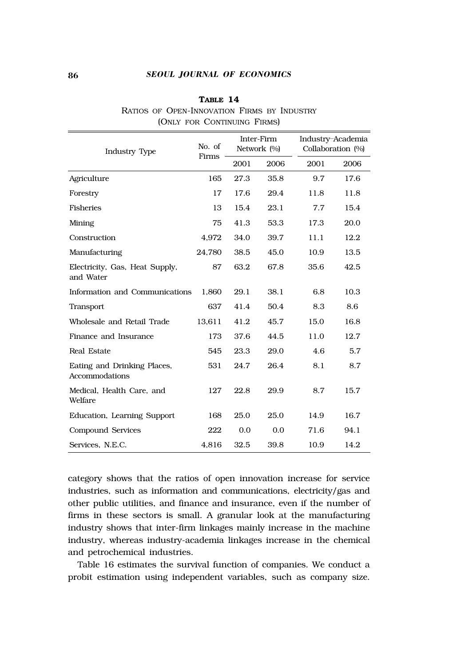## 86 *SEOUL JOURNAL OF ECONOMICS*

## **TABLE 14**

|  |  |                             |  | RATIOS OF OPEN-INNOVATION FIRMS BY INDUSTRY |
|--|--|-----------------------------|--|---------------------------------------------|
|  |  | (ONLY FOR CONTINUING FIRMS) |  |                                             |

| <b>Industry Type</b>                          | No. of<br>Firms | Inter-Firm<br>Network (%) |      | Industry-Academia<br>Collaboration (%) |      |
|-----------------------------------------------|-----------------|---------------------------|------|----------------------------------------|------|
|                                               |                 | 2001                      | 2006 | 2001                                   | 2006 |
| Agriculture                                   | 165             | 27.3                      | 35.8 | 9.7                                    | 17.6 |
| Forestry                                      | 17              | 17.6                      | 29.4 | 11.8                                   | 11.8 |
| Fisheries                                     | 13              | 15.4                      | 23.1 | 7.7                                    | 15.4 |
| Mining                                        | 75              | 41.3                      | 53.3 | 17.3                                   | 20.0 |
| Construction                                  | 4.972           | 34.0                      | 39.7 | 11.1                                   | 12.2 |
| Manufacturing                                 | 24,780          | 38.5                      | 45.0 | 10.9                                   | 13.5 |
| Electricity, Gas, Heat Supply,<br>and Water   | 87              | 63.2                      | 67.8 | 35.6                                   | 42.5 |
| Information and Communications                | 1,860           | 29.1                      | 38.1 | 6.8                                    | 10.3 |
| Transport                                     | 637             | 41.4                      | 50.4 | 8.3                                    | 8.6  |
| Wholesale and Retail Trade                    | 13,611          | 41.2                      | 45.7 | 15.0                                   | 16.8 |
| Finance and Insurance                         | 173             | 37.6                      | 44.5 | 11.0                                   | 12.7 |
| Real Estate                                   | 545             | 23.3                      | 29.0 | 4.6                                    | 5.7  |
| Eating and Drinking Places,<br>Accommodations | 531             | 24.7                      | 26.4 | 8.1                                    | 8.7  |
| Medical, Health Care, and<br>Welfare          | 127             | 22.8                      | 29.9 | 8.7                                    | 15.7 |
| Education, Learning Support                   | 168             | 25.0                      | 25.0 | 14.9                                   | 16.7 |
| Compound Services                             | 222             | 0.0                       | 0.0  | 71.6                                   | 94.1 |
| Services, N.E.C.                              | 4,816           | 32.5                      | 39.8 | 10.9                                   | 14.2 |

category shows that the ratios of open innovation increase for service industries, such as information and communications, electricity/gas and other public utilities, and finance and insurance, even if the number of firms in these sectors is small. A granular look at the manufacturing industry shows that inter-firm linkages mainly increase in the machine industry, whereas industry-academia linkages increase in the chemical and petrochemical industries.

Table 16 estimates the survival function of companies. We conduct a probit estimation using independent variables, such as company size.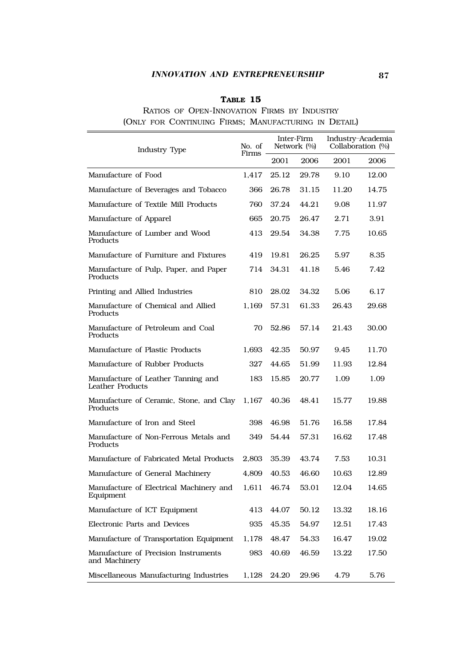## *INNOVATION AND ENTREPRENEURSHIP* 87

## **TABLE 15**

## RATIOS OF OPEN-INNOVATION FIRMS BY INDUSTRY (ONLY FOR CONTINUING FIRMS; MANUFACTURING IN DETAIL)

| Industry Type                                          | No. of<br>Firms | Inter-Firm<br>Network (%) |       | Industry-Academia<br>Collaboration (%) |       |
|--------------------------------------------------------|-----------------|---------------------------|-------|----------------------------------------|-------|
|                                                        |                 | 2001                      | 2006  | 2001                                   | 2006  |
| Manufacture of Food                                    | 1,417           | 25.12                     | 29.78 | 9.10                                   | 12.00 |
| Manufacture of Beverages and Tobacco                   | 366             | 26.78                     | 31.15 | 11.20                                  | 14.75 |
| Manufacture of Textile Mill Products                   | 760             | 37.24                     | 44.21 | 9.08                                   | 11.97 |
| Manufacture of Apparel                                 | 665             | 20.75                     | 26.47 | 2.71                                   | 3.91  |
| Manufacture of Lumber and Wood<br>Products             | 413             | 29.54                     | 34.38 | 7.75                                   | 10.65 |
| Manufacture of Furniture and Fixtures                  | 419             | 19.81                     | 26.25 | 5.97                                   | 8.35  |
| Manufacture of Pulp, Paper, and Paper<br>Products      | 714             | 34.31                     | 41.18 | 5.46                                   | 7.42  |
| Printing and Allied Industries                         | 810             | 28.02                     | 34.32 | 5.06                                   | 6.17  |
| Manufacture of Chemical and Allied<br>Products         | 1.169           | 57.31                     | 61.33 | 26.43                                  | 29.68 |
| Manufacture of Petroleum and Coal<br>Products          | 70              | 52.86                     | 57.14 | 21.43                                  | 30.00 |
| Manufacture of Plastic Products                        | 1.693           | 42.35                     | 50.97 | 9.45                                   | 11.70 |
| Manufacture of Rubber Products                         | 327             | 44.65                     | 51.99 | 11.93                                  | 12.84 |
| Manufacture of Leather Tanning and<br>Leather Products | 183             | 15.85                     | 20.77 | 1.09                                   | 1.09  |
| Manufacture of Ceramic, Stone, and Clay<br>Products    | 1,167           | 40.36                     | 48.41 | 15.77                                  | 19.88 |
| Manufacture of Iron and Steel                          | 398             | 46.98                     | 51.76 | 16.58                                  | 17.84 |
| Manufacture of Non-Ferrous Metals and<br>Products      | 349             | 54.44                     | 57.31 | 16.62                                  | 17.48 |
| Manufacture of Fabricated Metal Products               | 2.803           | 35.39                     | 43.74 | 7.53                                   | 10.31 |
| Manufacture of General Machinery                       | 4,809           | 40.53                     | 46.60 | 10.63                                  | 12.89 |
| Manufacture of Electrical Machinery and<br>Equipment   | 1,611           | 46.74                     | 53.01 | 12.04                                  | 14.65 |
| Manufacture of ICT Equipment                           | 413             | 44.07                     | 50.12 | 13.32                                  | 18.16 |
| Electronic Parts and Devices                           | 935             | 45.35                     | 54.97 | 12.51                                  | 17.43 |
| Manufacture of Transportation Equipment                | 1.178           | 48.47                     | 54.33 | 16.47                                  | 19.02 |
| Manufacture of Precision Instruments<br>and Machinery  | 983             | 40.69                     | 46.59 | 13.22                                  | 17.50 |
| Miscellaneous Manufacturing Industries                 | 1.128           | 24.20                     | 29.96 | 4.79                                   | 5.76  |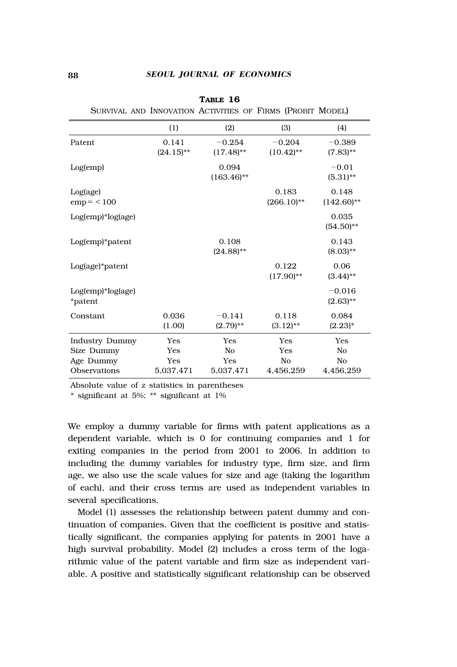|                              | (1)                   | (2)                      | (3)                      | (4)                     |
|------------------------------|-----------------------|--------------------------|--------------------------|-------------------------|
| Patent                       | 0.141<br>$(24.15)$ ** | $-0.254$<br>$(17.48)$ ** | $-0.204$<br>$(10.42)$ ** | $-0.389$<br>$(7.83)$ ** |
| Log(emp)                     |                       | 0.094<br>$(163.46)$ **   |                          | $-0.01$<br>$(5.31)$ **  |
| Log(age)<br>$emp = < 100$    |                       |                          | 0.183<br>$(266.10)$ **   | 0.148<br>$(142.60)$ **  |
| Log(emp)*log(age)            |                       |                          |                          | 0.035<br>$(54.50)$ **   |
| $Log(emp)*pattern$           |                       | 0.108<br>$(24.88)$ **    |                          | 0.143<br>$(8.03)$ **    |
| Log(age)*patent              |                       |                          | 0.122<br>$(17.90)$ **    | 0.06<br>$(3.44)$ **     |
| Log(emp)*log(age)<br>*patent |                       |                          |                          | $-0.016$<br>$(2.63)$ ** |
| Constant                     | 0.036<br>(1.00)       | $-0.141$<br>$(2.79)$ **  | 0.118<br>$(3.12)$ **     | 0.084<br>$(2.23)^{*}$   |
| Industry Dummy               | Yes                   | Yes                      | Yes                      | Yes                     |
| Size Dummy                   | Yes                   | No                       | Yes                      | No                      |
| Age Dummy                    | Yes                   | Yes                      | No                       | No                      |
| Observations                 | 5,037,471             | 5,037,471                | 4.456.259                | 4,456,259               |

**TABLE 16** SURVIVAL AND INNOVATION ACTIVITIES OF FIRMS (PROBIT MODEL)

Absolute value of z statistics in parentheses

\* significant at 5%; \*\* significant at 1%

We employ a dummy variable for firms with patent applications as a dependent variable, which is 0 for continuing companies and 1 for exiting companies in the period from 2001 to 2006. In addition to including the dummy variables for industry type, firm size, and firm age, we also use the scale values for size and age (taking the logarithm of each), and their cross terms are used as independent variables in several specifications.

Model (1) assesses the relationship between patent dummy and continuation of companies. Given that the coefficient is positive and statistically significant, the companies applying for patents in 2001 have a high survival probability. Model (2) includes a cross term of the logarithmic value of the patent variable and firm size as independent variable. A positive and statistically significant relationship can be observed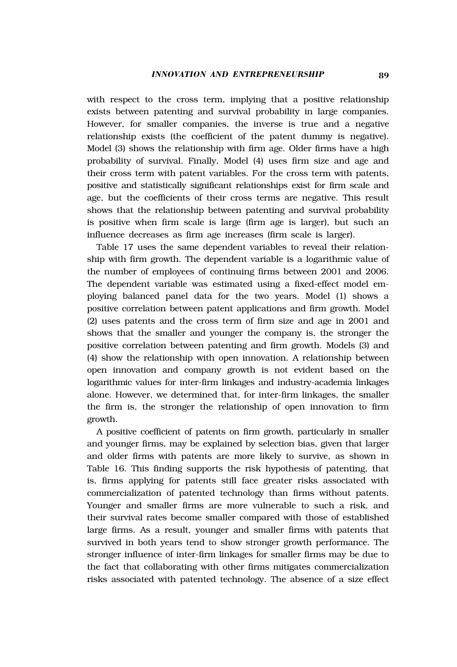with respect to the cross term, implying that a positive relationship exists between patenting and survival probability in large companies. However, for smaller companies, the inverse is true and a negative relationship exists (the coefficient of the patent dummy is negative). Model (3) shows the relationship with firm age. Older firms have a high probability of survival. Finally, Model (4) uses firm size and age and their cross term with patent variables. For the cross term with patents, positive and statistically significant relationships exist for firm scale and age, but the coefficients of their cross terms are negative. This result shows that the relationship between patenting and survival probability is positive when firm scale is large (firm age is larger), but such an influence decreases as firm age increases (firm scale is larger).

Table 17 uses the same dependent variables to reveal their relationship with firm growth. The dependent variable is a logarithmic value of the number of employees of continuing firms between 2001 and 2006. The dependent variable was estimated using a fixed-effect model employing balanced panel data for the two years. Model (1) shows a positive correlation between patent applications and firm growth. Model (2) uses patents and the cross term of firm size and age in 2001 and shows that the smaller and younger the company is, the stronger the positive correlation between patenting and firm growth. Models (3) and (4) show the relationship with open innovation. A relationship between open innovation and company growth is not evident based on the logarithmic values for inter-firm linkages and industry-academia linkages alone. However, we determined that, for inter-firm linkages, the smaller the firm is, the stronger the relationship of open innovation to firm growth.

A positive coefficient of patents on firm growth, particularly in smaller and younger firms, may be explained by selection bias, given that larger and older firms with patents are more likely to survive, as shown in Table 16. This finding supports the risk hypothesis of patenting, that is, firms applying for patents still face greater risks associated with commercialization of patented technology than firms without patents. Younger and smaller firms are more vulnerable to such a risk, and their survival rates become smaller compared with those of established large firms. As a result, younger and smaller firms with patents that survived in both years tend to show stronger growth performance. The stronger influence of inter-firm linkages for smaller firms may be due to the fact that collaborating with other firms mitigates commercialization risks associated with patented technology. The absence of a size effect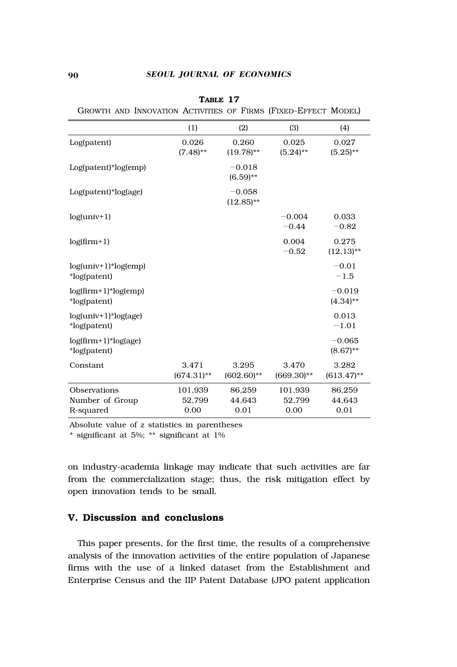|                                        | (1)                    | (2)                      | (3)                    | (4)                     |
|----------------------------------------|------------------------|--------------------------|------------------------|-------------------------|
| Log(patent)                            | 0.026<br>$(7.48)$ **   | 0.260<br>$(19.78)$ **    | 0.025<br>$(5.24)$ **   | 0.027<br>$(5.25)$ **    |
| $Log(path)*log(em)$                    |                        | $-0.018$<br>$(6.59)$ **  |                        |                         |
| Log(patent)*log(age)                   |                        | $-0.058$<br>$(12.85)$ ** |                        |                         |
| $log(univ+1)$                          |                        |                          | $-0.004$<br>$-0.44$    | 0.033<br>$-0.82$        |
| $log(firm+1)$                          |                        |                          | 0.004<br>$-0.52$       | 0.275<br>$(12.13)$ **   |
| $log(univ+1)*log(emp)$<br>*log(patent) |                        |                          |                        | $-0.01$<br>$-1.5$       |
| $log(firm+1)*log(emp)$<br>*log(patent) |                        |                          |                        | $-0.019$<br>$(4.34)$ ** |
| $log(univ+1)*log(age)$<br>*log(patent) |                        |                          |                        | 0.013<br>$-1.01$        |
| $log(firm+1)*log(age)$<br>*log(patent) |                        |                          |                        | $-0.065$<br>$(8.67)$ ** |
| Constant                               | 3.471<br>$(674.31)$ ** | 3.295<br>$(602.60)$ **   | 3.470<br>$(669.30)$ ** | 3.282<br>$(613.47)$ **  |
| Observations                           | 101,939                | 86,259                   | 101,939                | 86,259                  |
| Number of Group                        | 52.799                 | 44.643                   | 52.799                 | 44.643                  |
| R-squared                              | 0.00                   | 0.01                     | 0.00                   | 0.01                    |

**TABLE 17**

GROWTH AND INNOVATION ACTIVITIES OF FIRMS (FIXED-EFFECT MODEL)

Absolute value of z statistics in parentheses

\* significant at 5%; \*\* significant at 1%

on industry-academia linkage may indicate that such activities are far from the commercialization stage; thus, the risk mitigation effect by open innovation tends to be small.

## **V. Discussion and conclusions**

This paper presents, for the first time, the results of a comprehensive analysis of the innovation activities of the entire population of Japanese firms with the use of a linked dataset from the Establishment and Enterprise Census and the IIP Patent Database (JPO patent application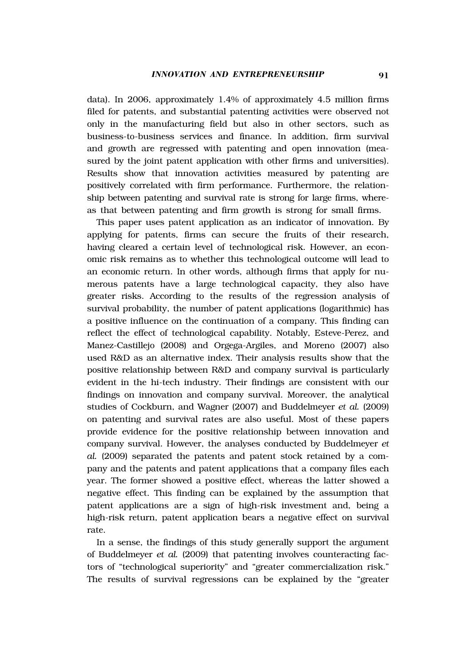data). In 2006, approximately 1.4% of approximately 4.5 million firms filed for patents, and substantial patenting activities were observed not only in the manufacturing field but also in other sectors, such as business-to-business services and finance. In addition, firm survival and growth are regressed with patenting and open innovation (measured by the joint patent application with other firms and universities). Results show that innovation activities measured by patenting are positively correlated with firm performance. Furthermore, the relationship between patenting and survival rate is strong for large firms, whereas that between patenting and firm growth is strong for small firms.

This paper uses patent application as an indicator of innovation. By applying for patents, firms can secure the fruits of their research, having cleared a certain level of technological risk. However, an economic risk remains as to whether this technological outcome will lead to an economic return. In other words, although firms that apply for numerous patents have a large technological capacity, they also have greater risks. According to the results of the regression analysis of survival probability, the number of patent applications (logarithmic) has a positive influence on the continuation of a company. This finding can reflect the effect of technological capability. Notably, Esteve-Perez, and Manez-Castillejo (2008) and Orgega-Argiles, and Moreno (2007) also used R&D as an alternative index. Their analysis results show that the positive relationship between R&D and company survival is particularly evident in the hi-tech industry. Their findings are consistent with our findings on innovation and company survival. Moreover, the analytical studies of Cockburn, and Wagner (2007) and Buddelmeyer *et al.* (2009) on patenting and survival rates are also useful. Most of these papers provide evidence for the positive relationship between innovation and company survival. However, the analyses conducted by Buddelmeyer *et al.* (2009) separated the patents and patent stock retained by a company and the patents and patent applications that a company files each year. The former showed a positive effect, whereas the latter showed a negative effect. This finding can be explained by the assumption that patent applications are a sign of high-risk investment and, being a high-risk return, patent application bears a negative effect on survival rate.

In a sense, the findings of this study generally support the argument of Buddelmeyer *et al.* (2009) that patenting involves counteracting factors of "technological superiority" and "greater commercialization risk." The results of survival regressions can be explained by the "greater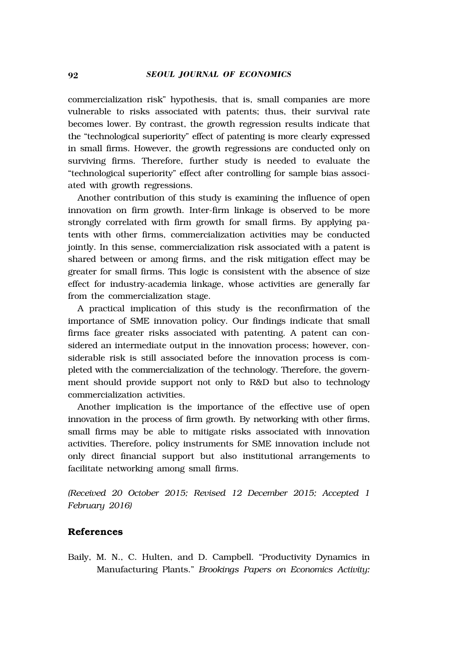commercialization risk" hypothesis, that is, small companies are more vulnerable to risks associated with patents; thus, their survival rate becomes lower. By contrast, the growth regression results indicate that the "technological superiority" effect of patenting is more clearly expressed in small firms. However, the growth regressions are conducted only on surviving firms. Therefore, further study is needed to evaluate the "technological superiority" effect after controlling for sample bias associated with growth regressions.

Another contribution of this study is examining the influence of open innovation on firm growth. Inter-firm linkage is observed to be more strongly correlated with firm growth for small firms. By applying patents with other firms, commercialization activities may be conducted jointly. In this sense, commercialization risk associated with a patent is shared between or among firms, and the risk mitigation effect may be greater for small firms. This logic is consistent with the absence of size effect for industry-academia linkage, whose activities are generally far from the commercialization stage.

A practical implication of this study is the reconfirmation of the importance of SME innovation policy. Our findings indicate that small firms face greater risks associated with patenting. A patent can considered an intermediate output in the innovation process; however, considerable risk is still associated before the innovation process is completed with the commercialization of the technology. Therefore, the government should provide support not only to R&D but also to technology commercialization activities.

Another implication is the importance of the effective use of open innovation in the process of firm growth. By networking with other firms, small firms may be able to mitigate risks associated with innovation activities. Therefore, policy instruments for SME innovation include not only direct financial support but also institutional arrangements to facilitate networking among small firms.

*(Received 20 October 2015; Revised 12 December 2015; Accepted 1 February 2016)*

## **References**

Baily, M. N., C. Hulten, and D. Campbell. "Productivity Dynamics in Manufacturing Plants." *Brookings Papers on Economics Activity:*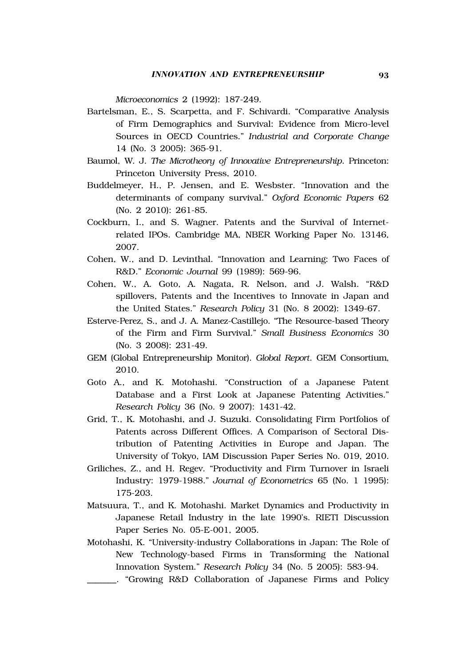*Microeconomics* 2 (1992): 187-249.

- Bartelsman, E., S. Scarpetta, and F. Schivardi. "Comparative Analysis of Firm Demographics and Survival: Evidence from Micro-level Sources in OECD Countries." *Industrial and Corporate Change*  14 (No. 3 2005): 365-91.
- Baumol, W. J. *The Microtheory of Innovative Entrepreneurship*. Princeton: Princeton University Press, 2010.
- Buddelmeyer, H., P. Jensen, and E. Wesbster. "Innovation and the determinants of company survival." *Oxford Economic Papers* 62 (No. 2 2010): 261-85.
- Cockburn, I., and S. Wagner. Patents and the Survival of Internetrelated IPOs. Cambridge MA, NBER Working Paper No. 13146, 2007.
- Cohen, W., and D. Levinthal. "Innovation and Learning: Two Faces of R&D." *Economic Journal* 99 (1989): 569-96.
- Cohen, W., A. Goto, A. Nagata, R. Nelson, and J. Walsh. "R&D spillovers, Patents and the Incentives to Innovate in Japan and the United States." *Research Policy* 31 (No. 8 2002): 1349-67.
- Esterve-Perez, S., and J. A. Manez-Castillejo. "The Resource-based Theory of the Firm and Firm Survival." *Small Business Economics* 30 (No. 3 2008): 231-49.
- GEM (Global Entrepreneurship Monitor). *Global Report*. GEM Consortium, 2010.
- Goto A., and K. Motohashi. "Construction of a Japanese Patent Database and a First Look at Japanese Patenting Activities." *Research Policy* 36 (No. 9 2007): 1431-42.
- Grid, T., K. Motohashi, and J. Suzuki. Consolidating Firm Portfolios of Patents across Different Offices. A Comparison of Sectoral Distribution of Patenting Activities in Europe and Japan. The University of Tokyo, IAM Discussion Paper Series No. 019, 2010.
- Griliches, Z., and H. Regev. "Productivity and Firm Turnover in Israeli Industry: 1979-1988." *Journal of Econometrics* 65 (No. 1 1995): 175-203.
- Matsuura, T., and K. Motohashi. Market Dynamics and Productivity in Japanese Retail Industry in the late 1990's. RIETI Discussion Paper Series No. 05-E-001, 2005.
- Motohashi, K. "University-industry Collaborations in Japan: The Role of New Technology-based Firms in Transforming the National Innovation System." *Research Policy* 34 (No. 5 2005): 583-94.
- \_\_\_\_\_\_\_. "Growing R&D Collaboration of Japanese Firms and Policy